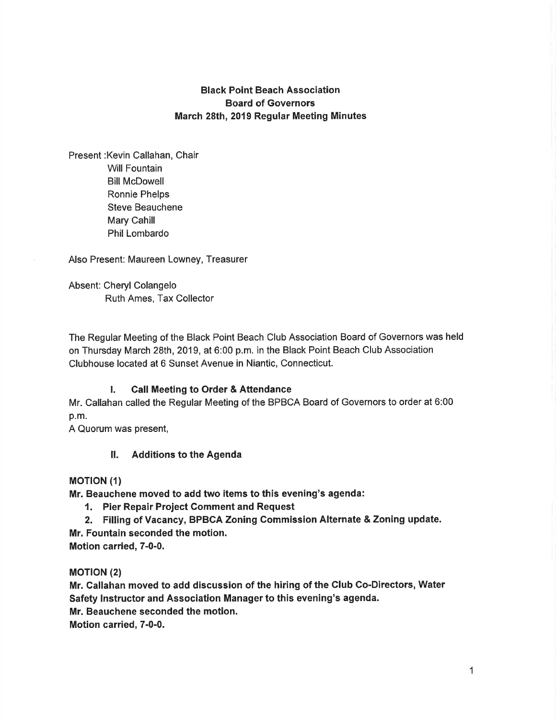# Black Point Beach Association Board of Governors March 28th,2019 Regular Meeting Minutes

Present :Kevin Callahan, Chair Will Fountain **Bill McDowell** Ronnie Phelps Steve Beauchene Mary Cahill Phil Lombardo

Also Present: Maureen Lowney, Treasurer

Absent: Cheryl Colangelo Ruth Ames, Tax Collector

The Regular Meeting of the Black Point Beach Club Association Board of Governors was held on Thursday March 28th,2019, at 6:00 p.m. in the Black Point Beach Club Association Clubhouse located at 6 Sunset Avenue in Niantic, Connecticut.

## l. Call Meeting to Order & Aftendance

Mr. Callahan called the Regular Meeting of the BPBCA Board of Governors to order at 6:00 p.m.

A Quorum was present,

### ll. Additions to the Agenda

### **MOTION (1)**

Mr. Beauchene moved to add two items to this evening's agenda:

- 1. Pier Repair Project Comment and Request
- 2. Filling of Vacancy, BPBCA Zoning Commission Alternate & Zoning update. Mr. Fountain seconded the motion.

Motion carried, 7-0-0.

**MOTION (2)** 

Mr. Callahan moved to add discussion of the hiring of the Club Co-Directors, Water Safety Instructor and Association Manager to this evening's agenda. Mr. Beauchene seconded the motion. Motion carried, 7-0-0.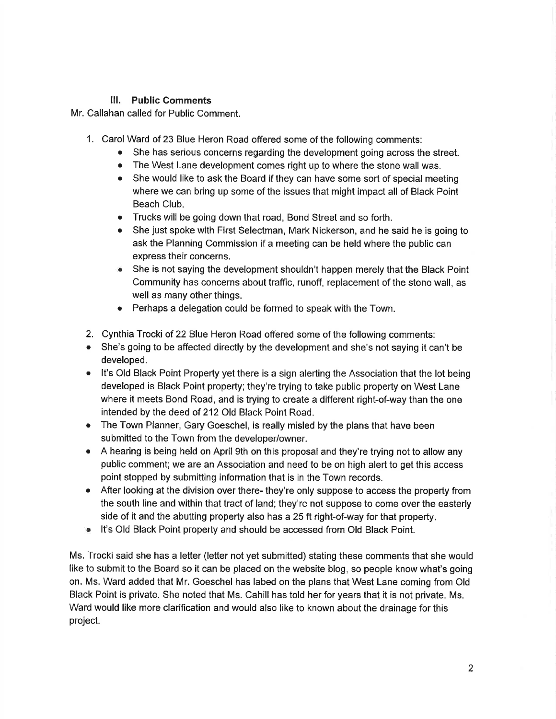# lll. Public Comments

Mr. Callahan called for Public Comment.

- 1. Carol Ward of 23 Blue Heron Road offered some of the following comments:
	- She has serious concerns regarding the development going across the street.
	- The West Lane development comes right up to where the stone wall was.
	- She would like to ask the Board if they can have some sort of special meeting where we can bring up some of the issues that might impact all of Black Point Beach Club.
	- o Trucks will be going down that road, Bond Street and so forth.
	- She just spoke with First Selectman, Mark Nickerson, and he said he is going to ask the Planning Commission if a meeting can be held where the public can express their concerns.
	- o She is not saying the development shouldn't happen merely that the Black Point Community has concerns about traffic, runoff, replacement of the stone wall, as well as many other things.
	- Perhaps a delegation could be formed to speak with the Town.
- 2. Cynthia Trocki of 22 Blue Heron Road offered some of the following comments:
- She's going to be affected directly by the development and she's not saying it can't be developed.
- It's Old Black Point Property yet there is a sign alerting the Association that the lot being developed is Black Point property; they're trying to take public property on West Lane where it meets Bond Road, and is trying to create a different right-of-way than the one intended by the deed of 212 Old Black Point Road.
- The Town Planner, Gary Goeschel, is really misled by the plans that have been submitted to the Town from the developer/owner.
- A hearing is being held on April 9th on this proposal and they're trying not to allow any public comment; we are an Association and need to be on high alert to get this access point stopped by submitting information that is in the Town records.
- After looking at the division over there- they're only suppose to access the property from the south line and within that tract of land; they're not suppose to come over the easterly side of it and the abutting property also has a 25 ft right-of-way for that property.
- o lt's Old Black Point property and should be accessed from Old Black Point.

Ms. Trocki said she has a letter (letter not yet submitted) stating these comments that she would like to submit to the Board so it can be placed on the website blog, so people know what's going on. Ms. Ward added that Mr. Goeschel has labed on the plans that West Lane coming from Old Black Point is private. She noted that Ms. Cahill has told her for years that it is not private. Ms. Ward would like more clarification and would also like to known about the drainage for this project.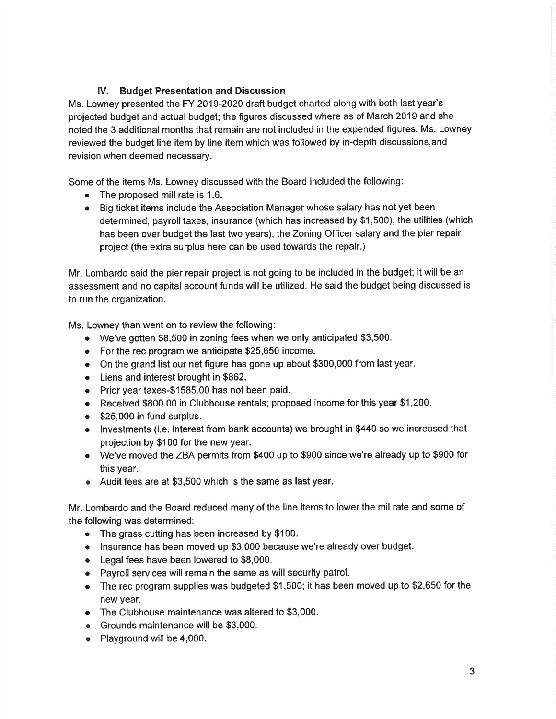# lV. Budget Presentation and Discussion

Ms. Lowney presented the FY 2019-2020 draft budget charted along with both last year's projected budget and actual budget; the figures discussed where as of March 2019 and she noted the 3 additional months that remain are not included in the expended figures. Ms. Lowney reviewed the budget line item by line item which was followed by in-depth discussions,and revision when deemed necessary.

Some of the items Ms. Lowney discussed with the Board included the following:

- The proposed mill rate is 1.6.
- o Big ticket items include the Association Manager whose salary has not yet been determined, payroll taxes, insurance (which has increased by \$1,500), the utilities (which has been over budget the last two years), the Zoning Officer salary and the pier repair project (the extra surplus here can be used towards the repair.)

Mr. Lombardo said the pier repair project is not going to be included in the budget; it will be an assessment and no capital account funds will be utilized. He said the budget being discussed is to run the organization.

Ms. Lowney than went on to review the following:

- o We've gotten \$8,500 in zoning fees when we only anticipated \$3,500.
- $\bullet$  For the rec program we anticipate \$25,650 income.
- On the grand list our net figure has gone up about \$300,000 from last year.
- o Liens and interest brought in \$862.
- o Prior year taxes-\$1585.00 has not been paid.
- o Received \$800.00 in Clubhouse rentals; proposed income for this year \$1,200.
- $\bullet$  \$25,000 in fund surplus.
- o lnvestments (i.e. interest from bank accounts) we brought in \$440 so we increased that projection by \$1OO for the new year.
- We've moved the ZBA permits from \$400 up to \$900 since we're already up to \$900 for this year.
- o Audit fees are at \$3,500 which is the same as last year.

Mr. Lombardo and the Board reduced many of the line items to lower the mil rate and some of the following was determined:

- The grass cutting has been increased by \$100.
- Insurance has been moved up \$3,000 because we're already over budget.
- $\bullet$  Legal fees have been lowered to \$8,000.
- $\bullet$  Payroll services will remain the same as will security patrol.
- $\bullet$  The rec program supplies was budgeted \$1,500; it has been moved up to \$2,650 for the new year.
- The Clubhouse maintenance was altered to \$3,000.
- o Grounds maintenance will be \$3,000.
- o Playground will be 4,000.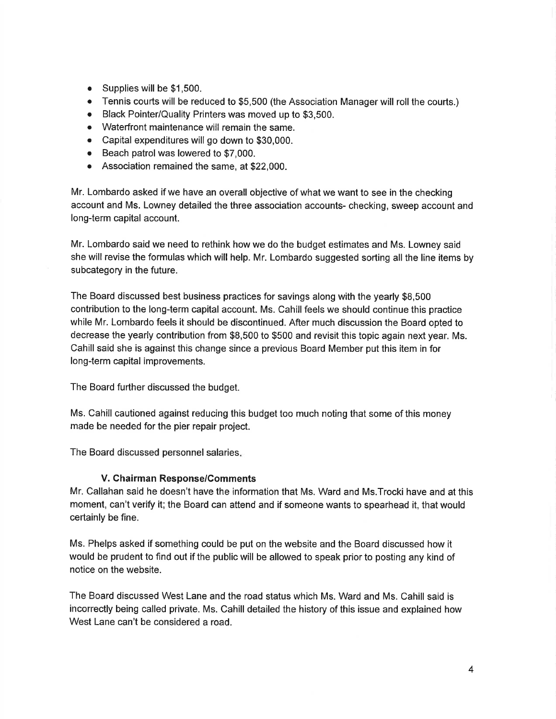- . Supplies will be \$1,500.
- Tennis courts will be reduced to \$5,500 (the Association Manager will roll the courts.)
- Black Pointer/Quality Printers was moved up to \$3,500.
- Waterfront maintenance will remain the same.
- o Capital expenditures will go down to \$30,000.
- Beach patrol was lowered to \$7,000.
- o Association remained the same, at \$22,000.

Mr. Lombardo asked if we have an overall objective of what we want to see in the checking account and Ms. Lowney detailed the three association accounts- checking, sweep account and long-term capital account.

Mr. Lombardo said we need to rethink how we do the budget estimates and Ms. Lowney said she will revise the formulas which will help. Mr. Lombardo suggested sorting all the line items by subcategory in the future.

The Board discussed best business practices for savings along with the yearly \$8,500 contribution to the long-term capital account. Ms. Cahill feels we should continue this practice while Mr. Lombardo feels it should be discontinued. After much discussion the Board opted to decrease the yearly contribution from \$8,500 to \$500 and revisit this topic again next year. Ms. Cahill said she is against this change since a previous Board Member put this item in for long-term capital improvements.

The Board further discussed the budget.

Ms. Cahill cautioned against reducing this budget too much noting that some of this money made be needed for the pier repair project.

The Board discussed personnel salaries

# V. Chairman Response/Comments

Mr. Callahan said he doesn't have the information that Ms. Ward and Ms.Trocki have and at this moment, can't verify it; the Board can attend and if someone wants to spearhead it, that would certainly be fine.

Ms. Phelps asked if something could be put on the website and the Board discussed how it would be prudent to find out if the public will be allowed to speak prior to posting any kind of notice on the website.

The Board discussed West Lane and the road status which Ms. Ward and Ms. Cahill said is incorrectly being called private. Ms. Cahill detailed the history of this issue and explained how West Lane can't be considered a road.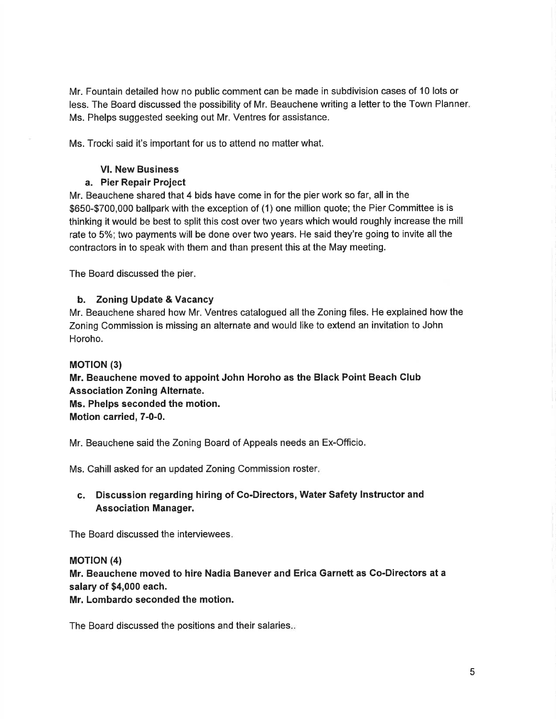Mr. Fountain detailed how no public comment can be made in subdivision cases of 10 lots or less. The Board discussed the possibility of Mr. Beauchene writing a letter to the Town Planner Ms. Phelps suggested seeking out Mr. Ventres for assistance.

Ms. Trocki said it's important for us to attend no matter what.

### Vl. New Business

## a. Pier Repair Project

Mr. Beauchene shared that 4 bids have come in for the pier work so far, all in the \$650-\$700,000 ballpark with the exception of (1) one million quote; the Pier Committee is is thinking it would be best to split this cost over two years which would roughly increase the mill rate to 5%; two payments will be done over two years. He said they're going to invite all the contractors in to speak with them and than present this at the May meeting.

The Board discussed the pier

## b. Zoning Update & Vacancy

Mr. Beauchene shared how Mr. Ventres catalogued allthe Zoning files. He explained how the Zoning Commission is missing an alternate and would like to extend an invitation to John Horoho.

### **MOTION (3)**

Mr. Beauchene moved to appoint John Horoho as the Black Point Beach Club Association Zoning Alternate. Ms. Phelps seconded the motion. Motion carried, 7-0-0.

Mr. Beauchene said the Zoning Board of Appeals needs an Ex-Officio

Ms. Cahill asked for an updated Zoning Commission roster

# c. Discussion regarding hiring of Co-Directors, Water Safety Instructor and Association Manager.

The Board discussed the interviewees

## **MOTION (4)**

Mr. Beauchene moved to hire Nadia Banever and Erica Garnett as Co-Directors at a salary of \$4,000 each.

Mr. Lombardo seconded the motion.

The Board discussed the positions and their salaries